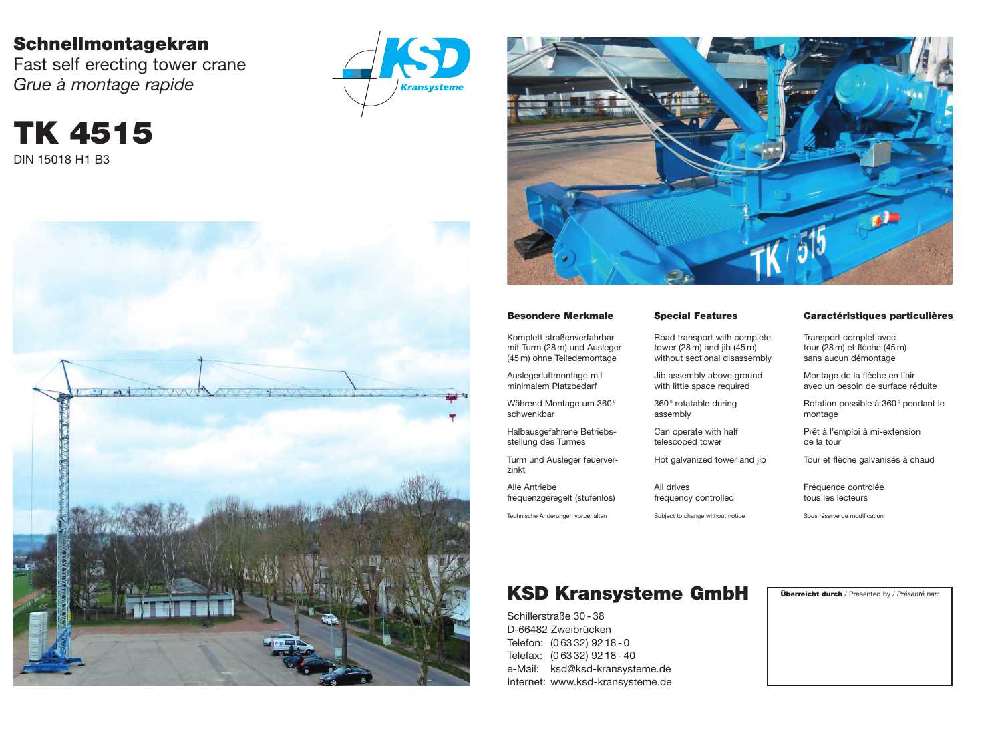## **Schnellmontagekran**

Fast self erecting tower crane *Grue à montage rapide*







**TK 4515**

DIN 15018 H1 B3

### **KSD Kransysteme GmbH Überreicht durch** / Presented by / *Présenté par:*

Schillerstraße 30 - 38 D-66482 Zweibrücken Telefon: (0 63 32) 92 18 - 0 Telefax: (0 63 32) 92 18 - 40 e-Mail: ksd@ksd-kransysteme.de Internet: www.ksd-kransysteme.de

Während Montage um 360<sup>°</sup> schwenkbar

#### **Besondere Merkmale**

Komplett straßenverfahrbar mit Turm (28 m) und Ausleger (45 m) ohne Teiledemontage

> 360<sup>°</sup> rotatable during assembly

Auslegerluftmontage mit minimalem Platzbedarf

Halbausgefahrene Betriebsstellung des Turmes

Turm und Ausleger feuerverzinkt

Rotation possible à 360<sup>°</sup> pendant le montage

Alle Antriebe frequenzgeregelt (stufenlos)

Technische Änderungen vorbehalten

#### **Special Features**

Road transport with complete tower (28 m) and jib (45 m) without sectional disassembly

Jib assembly above ground with little space required

Can operate with half telescoped tower

Hot galvanized tower and jib

All drives frequency controlled

Subject to change without notice

#### **Caractéristiques particulières**

Transport complet avec tour (28 m) et flèche (45 m) sans aucun démontage

Montage de la flèche en l'air avec un besoin de surface réduite

Prêt à l'emploi à mi-extension de la tour

Tour et flèche galvanisés à chaud

Fréquence controlée tous les lecteurs

Sous réserve de modification